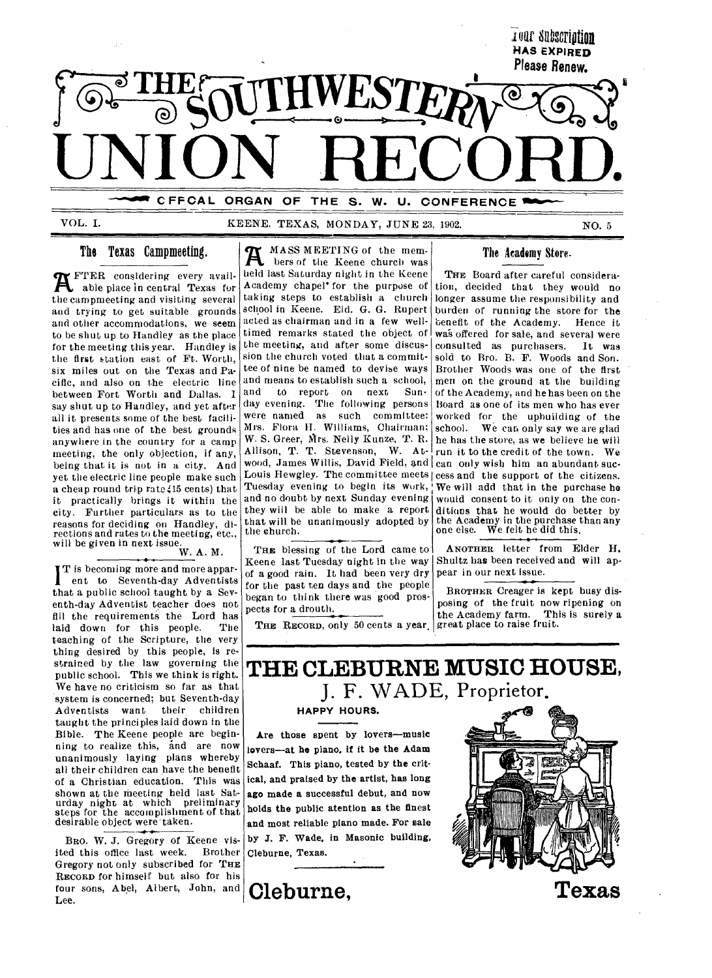

VOL. I. KEENE, TEXAS, MONDAY, JUNE 23, 1902. NO. 5

## **The Texas Campmeeting.**

**R** FTER considering every avail-<br>able place in central Texas for able place in central Texas fur the campmeeting and visiting, several and trying to get suitable grounds and other accommodations, we seem to be shut up to Handley as the place for the meeting this year. Handley is the first station east of Ft. Worth, six miles out on the Texas and Pacific, and also on the electric line between Fort Worth and Dallas. I say shut up to Handley, and yet after all it presents some of the best facilities and has one of the best grounds anywhere in the country for a camp meeting, the only objection, if any, being that it is not in a city. And yet the electric line people make such a cheap round trip rate (15 cents) that it practically brings it within the city. Further particulars as to the reasons for deciding on Handley, directions and rates to the meeting, etc., will be given in next issue.  $W. A. M.$ 

T is becoming more and more appar-1 ent to Seventh-day Adventists that a public school taught by a Seventh-day Adventist teacher does not fill the requirements the Lord has<br>haid down for this people. The laid down for this people. teaching of the Scripture, the very thing desired by this people, is restrained by the law governing the public school. This we think is right. We have no criticism so far as that system is concerned; but Seventh-day<br>Adventists want their children Adventists want taught the principles laid down in the Bible. The Keene people are beginning to realize this, and are now unanimously laying plans whereby all their children can have the benefit of a Christian education. This was shown at the meeting held last Saturday night at which preliminary steps for the accomplishment of that desirable object were taken.

BRO. W. J. Gregory of Keene visited this office last week. Brother Gregory not only subscribed for THE RECORD for himself but also for his four sons, Abel, Albert, John, and Lee.

MASS MEETING of the mem- $\mathbf{A}$ bers of the Keene church was held last Saturday night in the Keene Academy chapel' for the purpose of taking steps to establish a church school in Keene. Eld. G. G. Rupert acted as chairman and in a few welltimed remarks stated the object of the meeting, and after some discussion the church voted that a committee of nine be named to devise ways and means to establish such a school,<br>and to report on next Sun- $\alpha$  report on next day evening. The following persons were named as such committee: Mrs. Flora H. Williams, Chairman; W. S. Greer, Mrs. Nelly Kunze, T. R. Allison, T. T. Stevenson, W. Atwood, James Willis, David Field, and  $|$  can ouly wish him an abundant suc-Louis Hewgley. The committee meets cess and the support of the citizens. Tuesday evening to begin its work, and no doubt by next Sunday evening they will be able to make a report that will be unanimously adopted by the church.

THE blessing of the Lord came to Keene last Tuesday night in the way of a good rain. It had been very dry for the past ten days and the people began to think there was good prospects for a drouth.

THE RECORD, only 50 cents a year. great place to raise fruit.

## The Academy Store.

THE Board after careful consideration, decided that they would no longer assume the responsibility and burden of running the store for the benefit of the Academy. Hence it was offered for sale, and several were<br>consulted as purchasers. It was consulted as purchasers. sold to Bro. B. F. Woods and Son. Brother Woods was one of the first men on the ground at the building of the Academy, and he has been on the Board as one of its men who has ever worked for the uphuilding of the school. We can only say we are glad he has the store, as we believe he will run it to the credit of the town. We We will add that in the purchase he would consent to it only on the conditions that he would do better by the Academy in the purchase than any one else. We felt he did this.

ANOTHER letter from Elder H. Shultz has been received and will appear in our next issue.

BROTHER Creager is kept busy disposing of the fruit now ripening on the Academy farm. This is surely a

# **THE CLEBURNE MUSIC HOUSE,**  J. F. WADE, Proprietor.

**HAPPY HOURS.** 

Are those spent by lovers—music lovers—at he piano, if it be the Adam Schaaf. This piano, tested by the critical, and praised by the artist, has long ago made a successful debut, and now holds the public atention as the finest and most reliable piano made. For sale by J. F. Wade, in Masonic building, Cleburne, Texas.



**Cleburne,**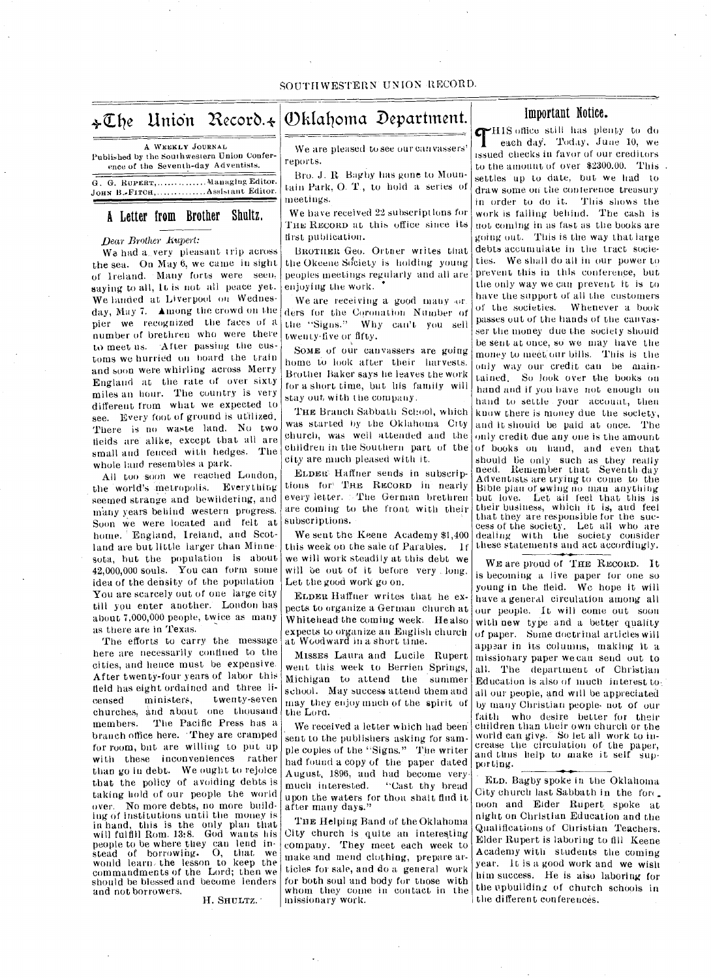# The Union Record. $\star\big|\mathbb{O}$ klahoma Department. $\big|\big|$

A WEEKLY JOURNAL Published by the Southwestern Union Conference of the Seventh-day Adventists.

G. G. RUPERT, ............... Managing Editor. JOHN B.-FITCH, ............. Assistant Editor.

## A Letter from Brother Shultz,

### *Dear Brother Rupert:*

Wa had a very pleasant trip across the sea. On May 6, we came in sight of Ireland. Many forts were seen, saying to all, It is not all peace yet. We landed at Liverpool on Wednesday, May 7. Among the crowd on the pier we recognized the faces of a number of brethren who were there to meet us. After passing the customs we hurried on board the train and soon were whirling across Merry England at the rate of over sixty miles an hour. The country is very different from what we expected to see. Every foot of ground is utilized. There is no waste land. No two fields are alike, except that all are small and fenced with hedges. The whole land resembles a park.

All too soon we reached London, the world's metropolis. Everything seemed strange and bewildering, and many years behind western progress. Soon we were located and felt at home. England, Ireland, and Scotland are but little larger than Minnesota, but the population is about 42,000,000 souls. You can form some idea of the density of the population You are scarcely out of one large city till you enter another. London has about 7,000,000 people, twice as many as there are in Texas.

The efforts to carry the message here are necessarily confined to the cities, and hence must be expensive. After twenty-four years of labor this field has eight ordained and three licensed ministers, twenty-seven churches, and about one thousand members. The Pacific Press has a branch office here. • They are cramped for room, but are willing to put up with these inconveniences rather than go in debt. We ought to rejoice that the policy of avoiding debts is taking hold of our people the world over.. No more debts, no more building of institutions until the money is in hand, this is the only plan that will fulfill Rom. 13:8. God wants his people to be where they can lend in-stead of borrowing. 0, that we would learn, the lesson to keep the commandments of the Lord; then we should be blessed and become lenders and not borrowers.

H. SHULTZ.

We are pleased to see our canvassers' reports.

Bro. J. R. Bagby has gone to Mountain Park, 0. T., to hold a series of meetings.

We have received 22 subscriptions for THE RECORD at this office since its first publication.

BROTILER Geo. Ortner writes that the Okeene Society is holding young peoples meetings regularly and all are enjoying the work.

We are receiving a good many -or. ders for the Coronation Number of the "Signs." Why can't you sell twenty-five or fifty.

SOME of our canvassers are going home to look after their harvests. Brother Baker says he leaves the work for a short time, but his family will stay out with tie company.

THE Branch Sabbath School, which was started by the Oklahoma City church, was well attended and the children in the Southern part of the city are much pleased with it.

ELDER` Haffner sends in subscriptions for' THE RECORD in nearly every letter. The German brethren are coming to the front with their subscriptions.

We sent the Keene Academy \$1,400 this week on the sale of Parables. If we will work steadily at this debt we will be out of it before very long. Let the good work go on.

ELDER, Haffner writes that he expects to organize a German church at Whitehead' the coming week. He also expects to organize an English church at Woodward in a short time.

MISSES Laura and Lucile Rupert went this week to Berrien Springs, Michigan to attend the summer school. May success attend them and may they enjoy much of the spirit of the Lora.

We received a letter which had been sent to the publishers asking for sample copies of the "Signs." The writer had found a copy of the-paper dated August, 1896, and had become verymuch interested. "Cast thy bread upon the waters for thou shalt find it after many days."

THE Helping Band of the Oklahoma City church is quite an interesting company. They meet each week to make and mend clothing, prepare articles for sale, and do a general work for both soul and body for those with whom they come in contact in the missionary work.

## Important Notice.

 $\mathbf{I}$ HIS office still has plenty to do each day. Today, June 10, we issued checks in favor of our creditors to the amount of over \$2300.00. This settles up to date, but we had to draw some on the conference treasury in order to do it. This shows the work is falling behind. The cash is not coming in as fast as the books are going out. This is the way that large debts accumulate in the tract societies. We shall do all in our power to prevent this in this confereuee, but the only way we can prevent it is to have the support of all the customers of the societies. Whenever a book passes out of the hands of the canvasser the money due the society should be sent at once, so we may have the money to meet our bills. This is the only way our credit can be main. tained. So look over the books on hand and if you bave not enough on hand to settle your account, then know there is money due the society, and it should be paid at once. The only credit due any one is the amount of books on hand, and even that should be only such as they really need. Remember that Seventh-day Adventists are trying to come to the Bible plan of owing no man anything but love. Let ail feel that this is their business, which it is, and feel that they are responsible fur the success of the society. Let all who are dealing with the society consider these statements and act accordingly.

WE are proud of THE RECORD. It is becoming a live paper for one so young in the field. We hope it will have a general circulation among all our people. It will come out soon with new type and a better quality of paper. Some doctrinal articles will appear in its columns, making it a missionary paper we can send out to all. The department of Christian Education is also of much interest to all our people, and will be appreciated by many Christian people. not of our faith who desire better for their children than their own church or the world can give. So let all work to increase the circulation of the paper,<br>and thus help to make it self supporting.

ELD. Bagby spoke in the Oklahoma City church last Sabbath in the for noon and Eider Rupert spoke at night on Christian Education and the Qualifications of Christian Teachers. Elder Rupert is laboring to fill Keene Academy with students the coming year. It is a good work and we wish him success. He is also laboring for the upbuilding of church schools in the different conferences.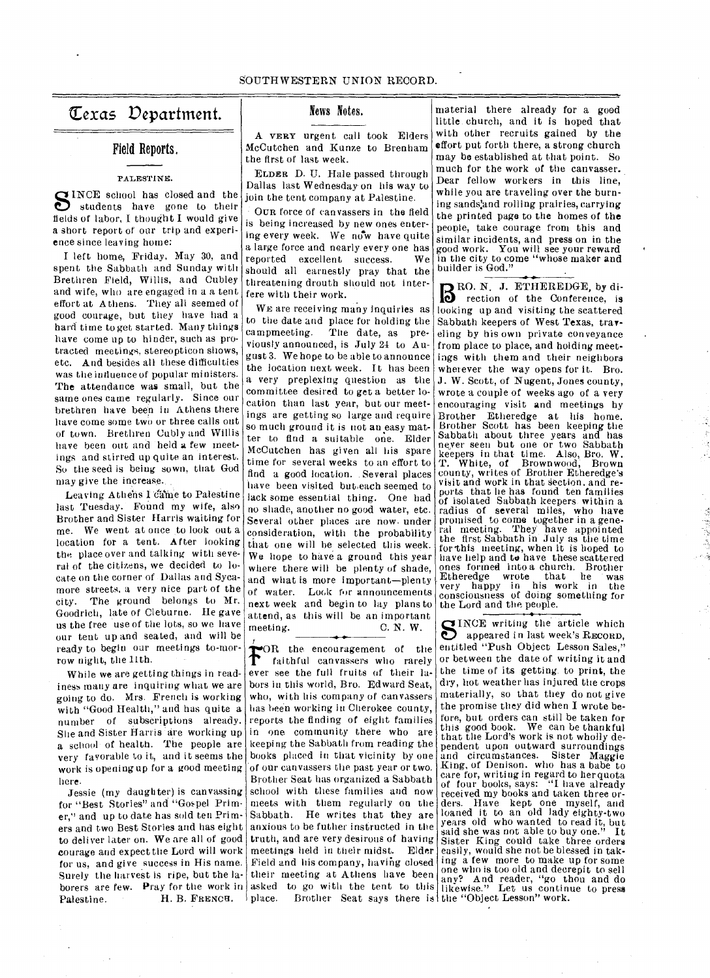## texas Vepartment.

## Field Reports.

### PALESTINE.

SINCE school has closed and the students have gone to their students have gone to their fields of labor, I thought I would give a short report of our trip and experience since leaving home:

I left home, Friday, May 30, and spent the Sabbath and Sunday with Brethren Field, Willis, and Cubley and wife, who are engaged in a a tent effort at Athens. They all seemed of good courage, but they have had a hard time to get started. Many things have come up to hinder, such as protracted meetings, stereopticon shows, etc. And besides all these difficulties was the influence of popular ministers. The attendance was small, but the same ones came regularly. Since our brethren have been in Athens there have come some two or three calls out of town. Brethren Cubly and Willis have been out and held a few meetings and stirred up quite an interest. So the seed is being sown, that God may give the increase.

Leaving Athens I came to Palestine last Tuesday. Found my wife, also Brother and Sister Harris waiting for me. We went at once to look out a location for a tent. After looking the place over and talking with several of the citizens, we decided to locate on the corner of Dallas and Sycamore streets, a very nice part of the city. The ground belongs to Mr. Goodrich, late of Cleburne. He gave us the free use of the lots, so we have our tent up and seated, and will be ready to begin our meetings to-morrow night, the 11th.

While we are getting things in readiness many are inquiring what we are going to do. Mrs. French is working with "Good Health," and has quite a number of subscriptions already. She and Sister Harris are working up a school of health. The people are very favorable to it, and it seems the work is opening up for a good meeting here.

Jessie (my daughter) is canvassing for "Best Stories" and "Gospel Primer," and up to date has sold ten Primers and two Best Stories and has eight anxious to be futher instructed in the to deliver later on. We are all of good courage and expect the Lord will work for us, and give success in His name. Surely the harvest is ripe, but the laborers are few. Pray for the work in asked<br>Palestine. H. B. FRENCH. place. Palestine. H. B. FRENCH.

## News Notes.

A VERY urgent call took Elders McCutchen and Kunze to Brenham the first of last week.

ELDER D. U. Hale passed through Dallas last Wednesday- on his way to join the tent company at Palestine.

OUR force of canvassers in the field is being increased by new ones entering every week. We now have quite a large force and nearly every one has reported excellent success. We should all earnestly pray that the threatening drouth should not interfere with their work.

WE are receiving many inquiries as to the date and place for holding the<br>campmeeting. The date, as pre-The date, as previously announced, is July 24 to August 3. We hope to be able to announce the location next week. It has been a very preplexing question as the committee desired to get a better location than last year, but our meetings are getting so large and require so much ground it is not an easy matter to find a suitable one. Elder McCutchen has given all his spare time for several weeks to an effort to find a good location. . Several places have been visited but,each seemed to lack some essential thing. One had no shade, another no good water, etc. Several other places are now. under consideration, with the probability that one will be selected this week. We hope to have a ground this year where there will be plenty of shade, and what is more important—plenty of water. Lock for announcements next week and begin to lay plans to attend, as this will be an important meeting.  $\qquad \qquad \text{C. N. W.}$ meeting. C. N. W.

FOR the encouragement of the<br>faithful canvassers who rarely faithful canvassers who rarely **T** faithful canvassers who rarely<br>ever see the full fruits of their labors in this world, Bro. Edward Seat, who, with his company of canvassers has been working in Cherokee county, reports the finding of eight families in one. community there who are keeping the Sabbath from reading the books placed in that vicinity by one of our canvassers the past year or two. Brother Seat has organized a Sabbath school with these families and now meets with them regularly on the Sabbath. He writes that they are truth, and are very desirous of having meetings held in their midst. Elder Field and his company, having closed their meeting at Athens have been asked to go with the tent to this place. Brother Seat says there is the "Object Lesson" work.

material there already for a good little, church, and it is hoped that with other recruits gained by the effort put forth there, a strong church may be established at that point. So much for the work of the canvasser. Dear fellow workers in this line, while you are traveling over the burning sands:and rolling prairies, carry ing the printed page to the homes of the people, take courage from this and similar incidents, and press on in the good work. You will see your reward in the city to come "whose maker and builder is God."

BEO. N. J. ETHEREDGE, by di-<br>
rection of the Conference, is rection of the Conference, is looking up and visiting the scattered Sabbath keepers of West Texas, traveling by his own private conveyance from place to place, and holding meetings with them and their neighbors wherever the way opens for it. Bro. J. W. Scott, of Nugent, Jones county, wrote a couple of weeks ago of a very encouraging visit and meetings by Brother Etheredge at his home. Brother Scott has been keeping the Sabbath about three years and has never seen but one or two Sabbath keepers in that time. Also, Bro. W. T. White, of Brownwood, Brown county, writes of Brother Etheredge's visit and work in that section, and ports that he has found ten families of isolated Sabbath keepers within a radius of several miles, who have promised to come together in a gene-ral meeting. They have appointed the first Sabbath in July as the time forthis meeting, when it is hoped to have help and to have these scattered<br>ones formed into a church. Brother ones formed into a church. Etheredge wrote that he was very happy in his work in the consciousness of doing something for the Lord and tine people.

SINCE writing the article which<br>appeared in last week's RECORD,<br>entitled "Push Object, Lesson Sales" appeared in last week's RECORD, entitled "Push Object Lesson Sales," or between the date of writing it and the time of its getting to print, the dry, hot weather has injured the crops materially, so that they do not give the promise they did when I wrote before, but orders can still be taken for this good book. We can be thankful that the Lord's work is not wholly dependent upon outward surroundings<br>and circumstances. Sister Maggie<br>King, of Denison. who has a babe to<br>care for, writing in regard to herquota<br>of four books, says: "I have already of four books, says: "I have already received my books and taken three orders. Have kept one myself, and loaned it to an old lady eighty-two years old who wanted to read it, but said she was not able to here orders Sister King could take three orders easily, would she not be blessed in taking a few more to make up for some one wino is too old and decrepit to sell any? And reader, "go thou and do likewise." Let us continue to press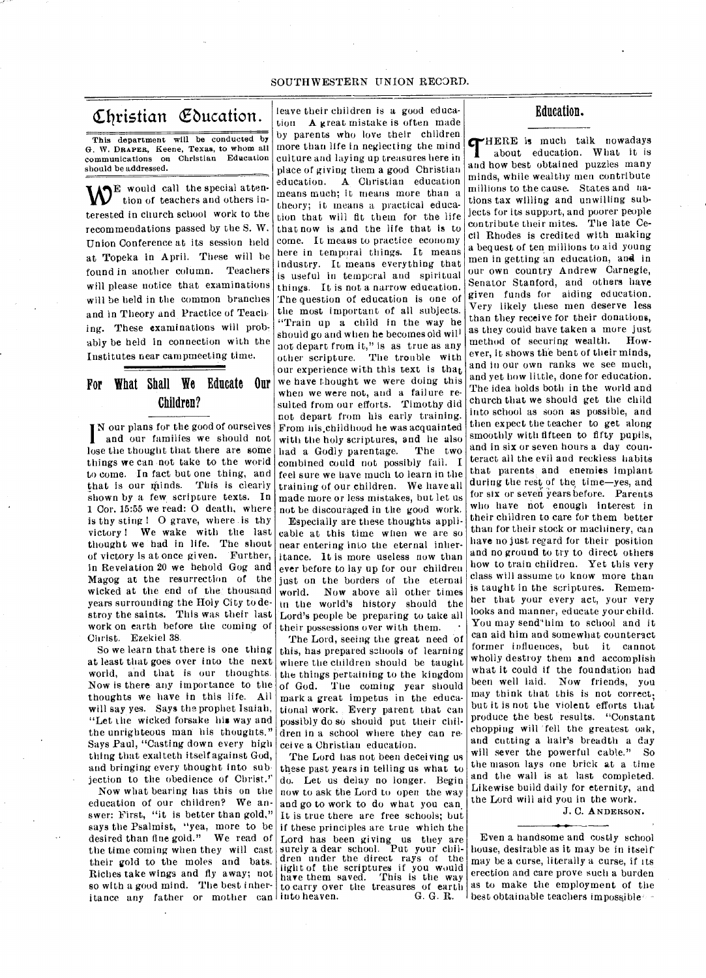## SOUTHWESTERN UNION RECORD.

# Christian Education.

This department will be conducted by G. W. DRAPER, Keene, Texas, to whom all communications on Christian Education should be addressed.

 $\mathbf{W}^{\text{E}}$  would call the special attention of teachers and others interested in church school work to the recommendations passed by the S. W. Union Conference at its session held at Topeka in April. These will be found in another column. Teachers will please notice that examinations will be held in the common branches and in Theory and Practice of Teach. ing. These examinations will probably be held in connection with the Institutes near campmeeting time.

## For What Shall We Educate Our Children?

N our plans for the good of ourselves and our families we should not lose the thought that there are some things we can not take to the world to come. In fact but one thing, and that is our minds. This is clearly shown by a few scripture texts. In 1 Cor. 15:55 we read: 0 death, where is thy sting 1 0 grave, where is thy victory ! We wake with the last thought we had in life. The shout of victory is at once given. Further, in Revelation 20 we behold Gog and Magog at the resurrection of the wicked at the end of the thousand years surrounding the Holy City to destroy the saints. This was their last work on earth before the coming of Christ. Ezekiel 38.

So we learn that there is one thing at least that goes over into the next world, and that is our thoughts. Now is there any importance to the thoughts we have in this life. All will say yes. Says the prophet Isaiah, "Let the wicked forsake his way and the unrighteous man his thoughts." Says Paul, "Casting down every high thing that exalteth itself against God, and bringing every thought into sub jection to the obedience of Christ."

Now what bearing has this on the education of our children? We answer: First, "it is better than gold," says the Psalmist, "yea, more to be desired than tine gold." We read of the time coming when they will cast their gold to the moles and bats. Riches take wings and fly away; not so with a good mind. The best inheritance any father or mother can into heaven.

leave their children is a good education A great mistake is often made by parents who love their children more than life in neglecting the mind culture and laying up treasures here in place of giving them a good Christian education. A Christian education means much; it means more than a theory; it means a practical education that will fit them for the life that now is and the life that is to come. It means to practice economy here in temporal things. It means industry. It means everything that is useful in temporal and spiritual things. It is not a narrow education. The question of education is one of the most important of all subjects. "Train up a child in the way he should go and when he becomes old wil<sup>l</sup> not depart from it.," is as true as any other scripture. The trouble with our experience with this text is that we have thought we were doing this when we were not, and a failure resulted from our efforts. Timothy did not depart from his early training. From his childhood he was acquainted with the holy scriptures, and he also<br>had a Godly parentage. The two had a Godly parentage. combined could not possibly fail. I feel sure we have much to learn in the training of our children. We have all made more or less mistakes, but let us not be discouraged in the good work.

Especially are these thoughts applicable at this time when we are so near entering into the eternal inheritance. It is more useless now than ever before to lay up for our children just on the borders of the eternal world. Now above all other times in the world's history should the Lord's people be preparing to take all their possessions over with them.

The Lord, seeing the great need of this, has prepared schools of learning where the children should be taught the things pertaining to the kingdom of God. The coming year should mark a great impetus in the educational work.. Every parent that can possibly do so should put their children in a school where they can receive a Christian education.

The Lord has not been deceiving us these past years in telling us what to do. Let us delay no longer. Begin now to ask the Lord to open the way and go to work to do what you can. It is true there are free schools; but if these principles are true which the LOrd has been giving us they are surely a dear school. Put your chil-dren under the direct rays of the light of the scriptures if you would have them saved. This is the way to carry over the treasures of earth into heaven. G. G. R.

Education.

**THERE** is much talk nowadays<br>about education. What it is about education. What it is and how best obtained puzzles many minds, while wealthy men contribute millions to the cause. States and nations tax willing and unwilling subjects for its support, and poorer people contribute their mites. The late Cecil Rhodes is credited with making a bequest of ten millions to aid young men in getting an education, and in our own country Andrew Carnegie, Senator Stanford, and others have given funds for aiding education. Very likely these men deserve less than they receive for their donations, as they could have taken a more just method of securing wealth. However, it shows the bent of their minds, and in our own ranks we see much, and yet how little, done for education. The idea holds both in the world and church that we should get the child into school as soon as possible, and then expect the teacher to get along smoothly with fifteen to fifty pupils, and in six or seven hours a day counteract all the evil and reckless habits that parents and enemies implant during the rest of the, time—yes, and for six or seven years before. Parents who have not enough interest in their children to care for them better than for their stock or machinery, can have no just regard for their position and no ground to try to direct others how to train children. Yet this very class will assume to know more than is taught in the scriptures. Remember that your every act, your very looks and manner, educate your child. You may send'him to school and it can aid him and somewhat counteract former influences, but it cannot wholly destroy them and accomplish what it could if the foundation had been well laid. Now friends, you may think that this is not correct; but it is not the violent efforts that produce the best results. "Constant chopping will "fell the greatest oak, and cutting a hair's breadth a day will sever the powerful cable." So the mason lays one brick at a time and the wall is at last completed. Likewise build daily for eternity, and the Lord will aid you in the work.

J. C. ANDERSON.

Even a handsome and costly school house, desirable as it may be in itself' may be a curse, literally a curse, if its erection and care prove such a burden as to make the employment of the best obtainable teachers impossible  $\sim$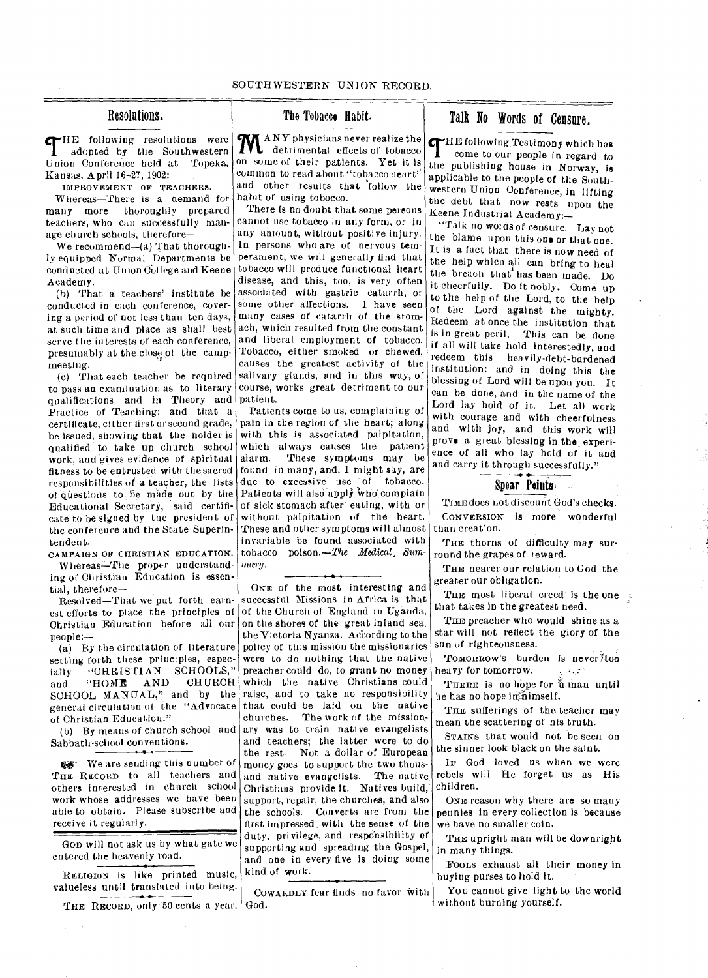**THE** following resolutions were<br>adopted by the Southwestern adopted by the Southwestern Union Conference held at Topeka. Kansas, April 16-27, 1902:

IMPROVEMENT OF TEACHERS.

Whereas—There is a demand for many more thoroughly prepared teachers, who can successfully manage church schools, therefore—

We recommend—(a) That thoroughly equipped Normal Departments be conducted at Union College and Keene Academy.

(h) That a teachers' institute be conducted in each conference, covering a period of not less than ten days, at such time arid place as shall best serve the interests of each conference, presumably at the close of the campmeeting.

(c) That each teacher be required to pass an examination as to literary course, works great detriment to our qualifications and in Theory and Practice of Teaching; and that a certificate, either first or second grade, be issued, showing that the nolder is qualified to take up church school work, and gives evidence of spiritual fitness to be entrusted with thesacred responsibilities of a. teacher, the lists of questions to be made out by the Educational Secretary, said certificate to be signed by the president of the conference and the State Superintendent.

CAMPAIGN OF CHRISTIAN EDUCATION. Whereas-The proper understanding of Christiau Education is essential, therefore—

Resolved—That we put forth earnest efforts to place the principles of Christian Education before all our people:—

(a) By the circulation of literature setting forth these principles, especially "CHRISTIAN SCHOOLS,"<br>and "HOME AND CHURCH and "HOME AND CHURCH SCHOOL MANUAL," and by the general circulation of the "Advocate of Christian Education."

(b) By means of church school and Sabbath-school conventions.

**EXT** We are sending this number of THE RECORD to all teachers and others interested in church school work whose addresses we have been able to obtain. Please subscribe and receive it regularly.

GOD will not ask us by what gate we entered the heavenly road.

RELIGION IS like printed music, valueless until translated into being.

THE RECORD, only 50 cents a year. God.

## The Tobacco Habit.

**MANY** physicians never realize the detrimental effects of tobacco on some of their patients. Yet it is common to read about "tobacco heart" and other results that follow the habit of using tobocco.

There is no doubt that some persons cannot use tobacco in any form, or in any amount, without positive injury. In persons who are of nervous temperament, we will generally find that tobacco will produce functional heart disease, and this, too, is very often associated with gastric catarrh, or some other affections. I have seen many cases of catarrh of the stomach, which resulted from the constant and liberal employment of tobacco. Tobacco, either smoked or chewed, causes the greatest activity of the salivary glands, and in this way, of patient.

Patients come to us, complaining of pain in the region of the heart; along with this is associated palpitation, which always causes the patient<br>alarm. These symptoms may be These symptoms may be found in many, and, I might say, are due to excessive use of tobacco. Patients will also apply who complain of sick stomach after eating, with or without palpitation of the heart. These and other symptoms will almost invariable be found associated with tobacco poison.*—the Medical. Summary.* 

ONE of the most interesting and successful Missions in Africa is that of the Church of England in Uganda, on the shores of the great inland sea, the Victoria Nyanza. Ac'cording to the policy of this mission the missionaries were to do nothing that the native preacher could do, to grant no money which the native Christians could raise, and to take no responsibility that could be laid on the native  $\begin{bmatrix} 1 & 0 \\ 0 & 0 \end{bmatrix}$  in the mission. ary was to train native evangelists and teachers; the latter were to do the rest. Not a dollar of European money goes to support the two thousand native evangelists. The native Christians provide it. Natives build,. support, repair, the churches, and also the schools. Converts are from the first impressed. with the sense of the duty, privilege, and responsibility of supporting and spreading the Gospel, and one in every five is doing some kind of work.

COWARDLY fear finds no favor With

## Resolutions. The Tobacco Habit. Talk No Words of Censure.

THE following Testimony which has<br>come to our people in regard to come to our people in regard to the publishing house in Norway, is applicable to the people of the Southwestern Union Conference, in lifting the debt that now rests upon the Keene Industrial Academy:—

"Talk no words of censure. Lay not the blame upon this one or that one. It is a fact that there is now need of the help which all can bring to heal the breach that' has been made. Do it cheerfully. Do it nobly. Come up to the help of the Lord, to the help of the Lord against the mighty. Redeem at once the institution that is in great peril. This can be done if all will take hold interestedly, and redeem this heavily-debt-burdened institution: and in doing this the blessing of Lord will be upon you. It can be done, and in the name of the Lord lay hold of it. Let all work with courage and with cheerfulness and with joy, and this work will prove a great blessing in the experience of all who lay hold of it and and carry it through successfully."

## Spear Points,

TIME does not discount God's checks. CONVERSION IS more wonderful than creation.

THE thorns of difficulty may surround the grapes of reward.

THE nearer our relation to God the greater our obligation.

THE most liberal creed is the one that takes in the greatest need.

THE preacher who would shine as a star will not reflect the glory of the sun of righteousness.

TOMORROW'S burden is never/too heavy for tomorrow.  $\mathcal{L} = \mathcal{L} \sqrt{\mathcal{L}}$ 

THERE is no hope for a man until he has no hope in himself.

THE sufferings of the teacher may mean the scattering of his truth.

STAINS that would not be seen on the sinner look black on the saint.

IF God loved us when we were rebels will He forget us as His children.

ONE reason why there are so many pennies in every collection is because we have no smaller coin.

THE upright man will be downright in many things.

FooLs exhaust all their money in buying purses to hold it.

You cannot give light to the world without burning yourself.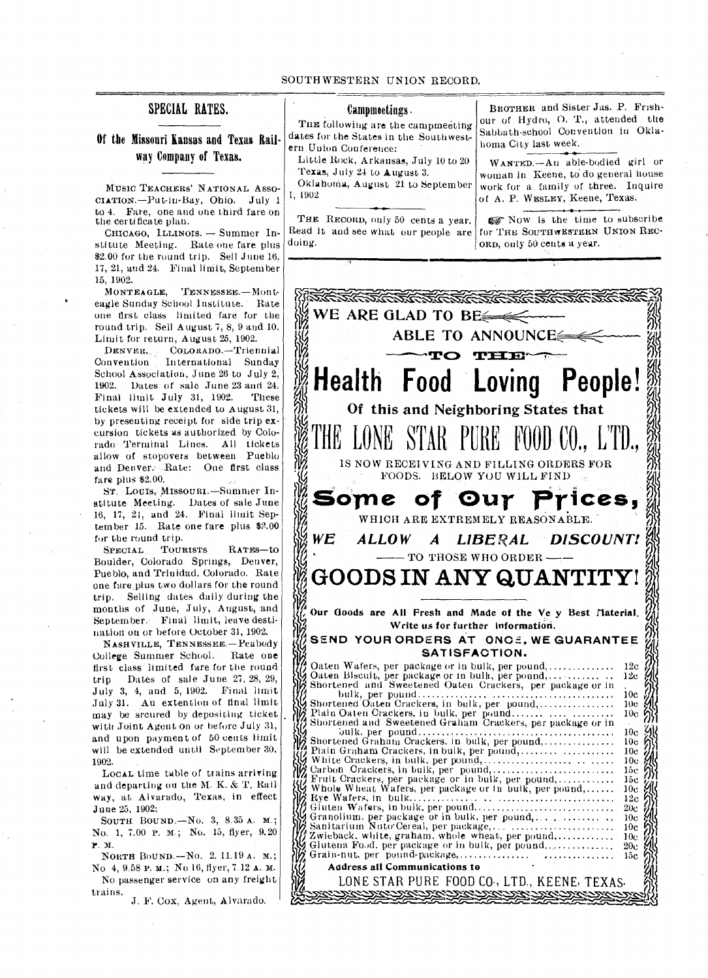## SPECIAL RATES.

Of the Missouri Kansas and Texas Railway Company of Texas.

MUSIC TEACHERS' NATIONAL ASSO-CIATION.—Put-in-Bay, Ohio. July 1 to 4. Fare, one and one third fare on the certificate plan.

CHICAGO, ILLINOIS. — Summer Institute Meeting. Rate one fare plus \$2.00 for the round trip. Sell June 16. 17, 21, and 24. Final limit, September 15, 1902.

MONT EAGLE, TENNESSEE.—Monteagle Sunday School Institute. - Rate one first class limited fare fur the round trip. Sell August 7, 8, 9 and 10. Limit for return, August 25, 1902.

DENVER,.. COLORADO.—Triennial Convention International Sunday School Association, June 26 to July 2,<br>1902. Dates of sale June 23 and 24. Dates of sale June 23 and 24. Final limit July 31, 1902. These tickets will be extended to August 31, by presenting receipt for side trip excursion tickets as authorized by Colorado- Terminal Lines. All tickets allow of stopovers between Pueblo and Denver. --Rate: One first class fare plus \$2.00.

ST. LOUIS, MISSOURI.—Summer Institute Meeting. Dates of sale June 16, 17, 21, and 24. Final limit Sep $tember$  15. Rate one fare plus  $$2.00$ for the round trip.

SPECIAL TOURISTS RATES—to Boulder, Colorado Springs, Denver, Pueblo, and. Trinidad. Colorado. Rate one fare plus two dollars for the round trip. Selling dates daily during the months of June, July, August, and September.- Final limit, leave destination on or before October 31, 1902.

NASHVILLE, TENNESSEE.—Peabody College Summer School. Rate one first class limited fare for the round trip Dates of sale June 27, 28, 29, July 3, 4, and 5, 1902. Final limit July 31. Au extention of final limit may be srcured by depositing ticket with Joint Agent on or before July 31, and upon payment of 50 cents limit will be extended until September 30, 1902.

LOCAL time table of trains arriving and departing on the M. K. & **T.** Rail way, at Alvarado, Texas, in effect June 25, 1902:

SOUTH BOUND.- $No. 3, 8.35 A. M.$ ; No. 1, 7.00 P. M.; No. 15, flyer, 9.20 P. N.

NORTH BOUND.—No. 2. 11.19 A. M.; No 4, 9.58 P. M.; No 16, flyer, 7.12 A. M. No passenger service on any freight trains.

J. F. Cox, Agent, Alvarado.

## Campmeetings •

THE following are the campmeeting dates for the States in the Southwestern Union Conference:

Little Rock, Arkansas, July 10 to 20 Texas, July 24 to August 3. Oklahoina, August 21 to September

1, 1902

Read it and see what our people are doing.

BROTHER and Sister Jas. P. Frishour of Hydro, 0. T., attended the Sabbath-school Convention in Oklahoma City last week.

WANTED.—Au able-bodied girl or woman in Keene, to do general house work for a family of three. Inquire of A. P. WESLEY, Keene, Texas.

THE RECORD, only 50 cents a year.  $\Box$   $\Box$  Now is the time to subscribe ead it and see what our people are for THE SOUTHWESTERN UNION RECorn, only 50 cents a year.

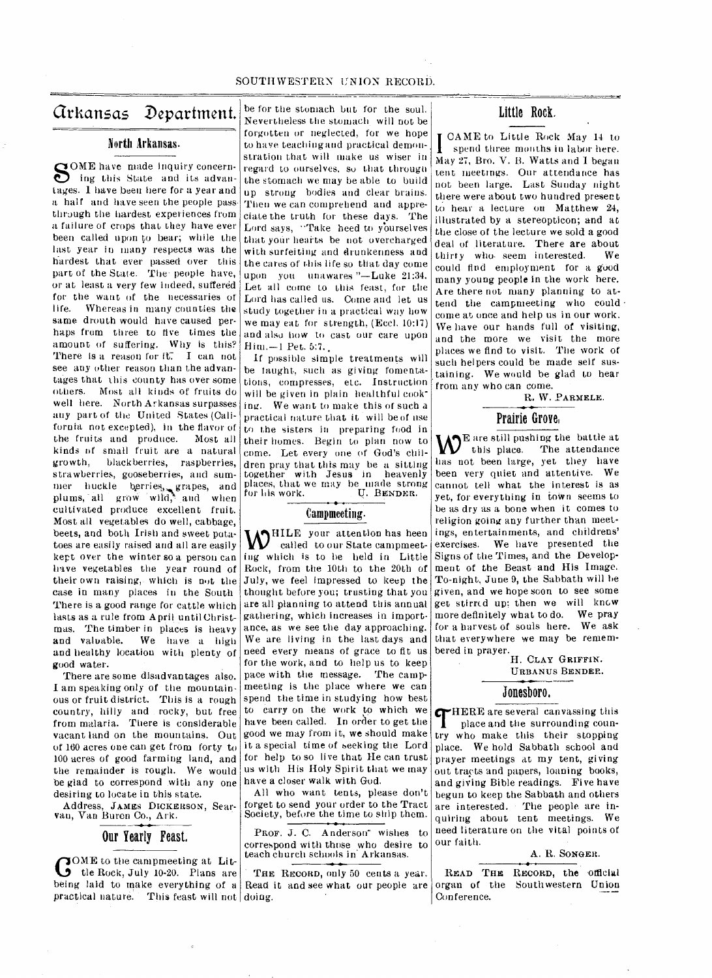## SOUTHWESTERN UNION RECORD.

## Arkansas Department.

## North Arkansas.

SOME have made inquiry concern-<br>ing this State and its advaning this State and its advantages. 1 have been here for a year and a half and have seen the people pass through the hardest experiences from a failure of crops that they have ever been called upon to bear; while the last year in many respects was the hardest that 'ever passed over this part of the State. The-people have, or at least a very few indeed, suffered for the want of the necessaries of life. Whereas in many counties the same drouth would have caused perhaps from three to five times the amount of suffering. Why is this? There is a reason for it. I can not see any other reason than the advantages that this county has over some others. Most all kinds of fruits do well here. North Arkansas surpasses any part of the United States (California not excepted), in the flavor of the fruits and produce. Most all kinds of small fruit are a natural growth, blackberries, raspberries, strawberries, gooseberries, and summer huckle berries grapes, and plums, all grow wild, and when cultivated produce excellent fruit. Most all vegetables do well, cabbage, beets, and both Irish and sweet potatoes are easily raised and all are easily kept over the winter so a person can have vegetables the year round of their own raising, which is not the case in many places in the South There is a good range for cattle which lasts as a rule from April until Christmas. The timber in places is heavy and valuable. We have a high and healthy location with plenty of good water.

There are some disadvantages also. I am speaking only of the mountainous or fruit district. This is a rough country, hilly and rocky, but free from malaria. There is considerable vacant land on the mountains. Out of 160 acres one can get from forty to 100 acres of good farming land, and the remainder is rough. We would be glad to correspond with any one desiring to locate in this state.

Address, JAMEs DICKERSON, Searvan, Van Buren Co., Ark.

## Our Yearly Feast,

COME to the campmeeting at Lit-<br>the Rock, July 10-20. Plans are tle Rock, July 10-20. Plans are being laid to make everything of a practical nature. This feast will not doing.

be for the stomach but for the soul. Nevertheless the stomach will not be forgotten or neglected, for we hope to have teaching and practical demonstration that will make us wiser in regard to ourselves, so that through the stomach we may be able to build up strong bodies and clear brains. Then we can comprehend and appreciate the truth for these days. The Lord says, "Take heed to yourselves that yotir hearts be not overcharged with surfeiting and druokenness and the cares of this life so that day come upon you unawares "—Luke 21:34. Let all come to this feast, for the Lord has called us. Come and let us study together in a practical way how we may eat for strength, (Eccl. 10:17) and also how to cast our care upon Him.-1 Pet. 5:7.

If possible simple treatments will be taught, such as giving fomenta-Lions, compresses, etc. Instruction will be given in plain healthful cooking. We want to make this of such a practical nature that it will be of use to the sisters in preparing food in their homes. Begin to plan now to come. Let every one of God's children pray that this may be a sitting with Jesus in heavenly places, that we may be made strong for his work. **U. BENDER.** 

## Campmeeting.

**W**<sup>HILE</sup> your attention has heen called to our State campmeetcalled to our State campmeeting which is to he held in Little Rock, from the 10th to the 20th of July, we feel impressed to keep the thought before you; trusting that you are all planning to attend this annual gathering, which increases in importance, as we see the day approaching. We are living in the last days and need every means of grace to fit us for the work, and to help us to keep pace with the message. The campmeeting is the place where we can spend the time in studying how best to carry on the work to which we have been called. In order to get the good we may from it, we should make it a special time of seeking the Lord for help to so live that He can trust us with His Holy Spirit that we may have a closer walk with God.

All who want tents, please don't forget to send your order to the Tract Society, before the time to ship them.

PROF. J. C. Anderson<sup>-</sup> wishes to correspond with those who desire to teach church schools in Arkansas.

THE RECORD, only 50 cents a year. Read it and see what our people are Little Rock.

**I CAME** to Little Rock May 14 to spend three months in labor here. CAME to Little Rock May 14 to May 27, Bro. V. B. Watts and I began tent meetings.. Our attendance has not been large. Last Sunday night there were about two hundred present to hear a lecture on Matthew 24, illustrated by a stereopticon; and at the close of the lecture we sold a good deal of literature. There are about thirty who- seem interested. We could find employment for a good many young people in the work here. Are there not many planning to attend the campmeeting who could come at once and help us in our work. We have our hands full of visiting, and the more we visit the more places we find to visit. The work of such helpers could be made self sustaining. We would be glad to hear from any who can come.

R. W. PARMELE.

## Prairie Grove,

 $\mathbf{W}^{\text{E are still pushing the battle at}}$  this place. The attendance has not been large, yet they have been very quiet and attentive. We cannot tell what the interest is as yet, for everything in town seems to be as dry as a bone when it comes to religion going any further than meetings, entertainments, and childrens' exercises. We have presented the Signs of the Times, and the Development of the Beast and His Image. To-night, June 9, the Sabbath will be given, and we hope soon to see some get stirred up; then we will knew more definitely what to do. We pray for a harvest of souls here. We ask that everywhere we may be remembered in prayer.

H. CLAY GRIFFIN. URBANUS BENDER.

## Jonesboro,

**THERE** are several canvassing this<br>place and the surrounding coun-<br>try who make this their stopping HERE are several canvassing this place and the surrounding counplace. We hold Sabbath school and prayer meetings at my tent, giving out tracts and pagers, loaning books, and giving Bible readings. Five have begun to keep the Sabbath and others are interested. • The people are inquiring about tent meetings. We need literature on the vital points of our faith.

A. R. SONGER.

READ THE RECORD, the official organ of the Southwestern Union Conference.